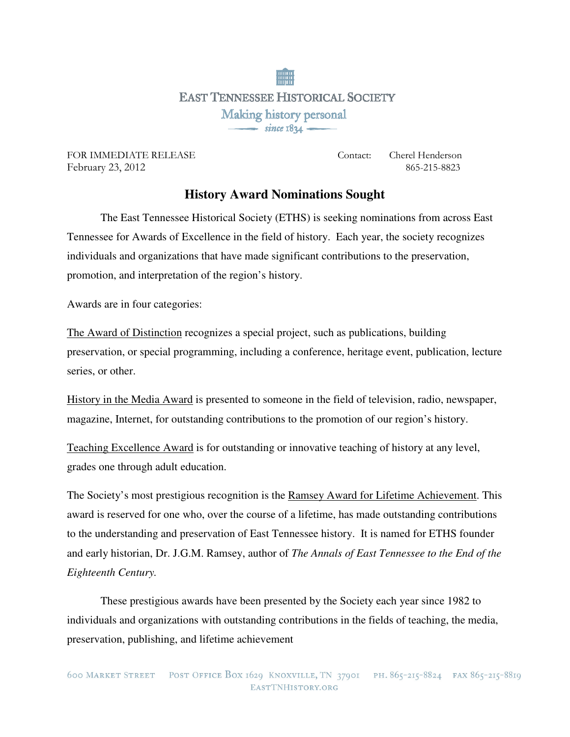**EAST TENNESSEE HISTORICAL SOCIETY** Making history personal  $-$  since  $1834-$ 

February 23, 2012865-215-8823

FOR IMMEDIATE RELEASE Contact: Cherel Henderson

## **History Award Nominations Sought**

 The East Tennessee Historical Society (ETHS) is seeking nominations from across East Tennessee for Awards of Excellence in the field of history. Each year, the society recognizes individuals and organizations that have made significant contributions to the preservation, promotion, and interpretation of the region's history.

Awards are in four categories:

The Award of Distinction recognizes a special project, such as publications, building preservation, or special programming, including a conference, heritage event, publication, lecture series, or other.

History in the Media Award is presented to someone in the field of television, radio, newspaper, magazine, Internet, for outstanding contributions to the promotion of our region's history.

Teaching Excellence Award is for outstanding or innovative teaching of history at any level, grades one through adult education.

The Society's most prestigious recognition is the Ramsey Award for Lifetime Achievement. This award is reserved for one who, over the course of a lifetime, has made outstanding contributions to the understanding and preservation of East Tennessee history. It is named for ETHS founder and early historian, Dr. J.G.M. Ramsey, author of *The Annals of East Tennessee to the End of the Eighteenth Century.* 

These prestigious awards have been presented by the Society each year since 1982 to individuals and organizations with outstanding contributions in the fields of teaching, the media, preservation, publishing, and lifetime achievement